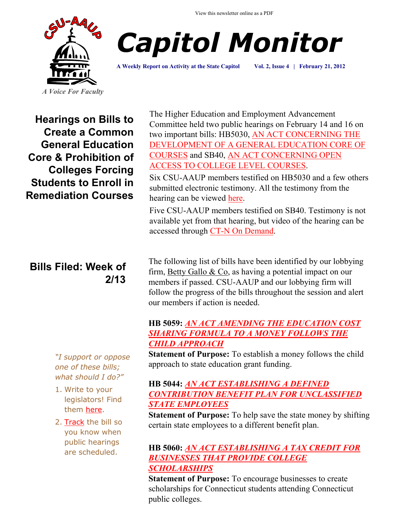View this newsletter online as a PDF





**A Weekly Report on Activity at the State Capitol Vol. 2, Issue 4 | February 21, 2012**

**Hearings on Bills to Create a Common General Education Core & Prohibition of Colleges Forcing Students to Enroll in Remediation Courses** 

# **Bills Filed: Week of 2/13**

*"I support or oppose one of these bills; what should I do?"*

- 1. Write to your legislators! Find them [here.](http://www.congressweb.com/cweb4/index.cfm?orgcode=BGAUP)
- 2. [Track](http://www.cga.ct.gov/aspx/CGAPublicBillTrack/Register.aspx) the bill so you know when public hearings are scheduled.

The Higher Education and Employment Advancement Committee held two public hearings on February 14 and 16 on two important bills: HB5030, [AN ACT CONCERNING THE](http://www.cga.ct.gov/2012/TOB/H/2012HB-05030-R00-HB.htm)  [DEVELOPMENT OF A GENERAL EDUCATION CORE OF](http://www.cga.ct.gov/2012/TOB/H/2012HB-05030-R00-HB.htm)  [COURSES](http://www.cga.ct.gov/2012/TOB/H/2012HB-05030-R00-HB.htm) and SB40, [AN ACT CONCERNING OPEN](http://www.cga.ct.gov/2012/TOB/S/2012SB-00040-R00-SB.htm)  [ACCESS TO COLLEGE LEVEL COURSES.](http://www.cga.ct.gov/2012/TOB/S/2012SB-00040-R00-SB.htm)

Six CSU-AAUP members testified on HB5030 and a few others submitted electronic testimony. All the testimony from the hearing can be viewed [here.](http://www.cga.ct.gov/asp/menu/CommDocTmyBill.asp?comm_code=HED&bill=HB-05030&doc_year=2012)

Five CSU-AAUP members testified on SB40. Testimony is not available yet from that hearing, but video of the hearing can be accessed through [CT-N On Demand.](http://www.ctn.state.ct.us/ondemand.asp)

The following list of bills have been identified by our lobbying firm, [Betty Gallo & Co,](http://www.bettygallo.com/) as having a potential impact on our members if passed. CSU-AAUP and our lobbying firm will follow the progress of the bills throughout the session and alert our members if action is needed.

# **HB 5059:** *[AN ACT AMENDING THE EDUCATION COST](http://www.cga.ct.gov/asp/cgabillstatus/cgabillstatus.asp?selBillType=Bill&bill_num=5059&which_year=2012&SUBMIT1.x=0&SUBMIT1.y=0)  [SHARING FORMULA TO A MONEY FOLLOWS THE](http://www.cga.ct.gov/asp/cgabillstatus/cgabillstatus.asp?selBillType=Bill&bill_num=5059&which_year=2012&SUBMIT1.x=0&SUBMIT1.y=0)  [CHILD APPROACH](http://www.cga.ct.gov/asp/cgabillstatus/cgabillstatus.asp?selBillType=Bill&bill_num=5059&which_year=2012&SUBMIT1.x=0&SUBMIT1.y=0)*

**Statement of Purpose:** To establish a money follows the child approach to state education grant funding.

# **HB 5044:** *[AN ACT ESTABLISHING A DEFINED](http://www.cga.ct.gov/asp/cgabillstatus/cgabillstatus.asp?selBillType=Bill&bill_num=5044&which_year=2012&SUBMIT1.x=0&SUBMIT1.y=0)  [CONTRIBUTION BENEFIT PLAN FOR UNCLASSIFIED](http://www.cga.ct.gov/asp/cgabillstatus/cgabillstatus.asp?selBillType=Bill&bill_num=5044&which_year=2012&SUBMIT1.x=0&SUBMIT1.y=0)  [STATE EMPLOYEES](http://www.cga.ct.gov/asp/cgabillstatus/cgabillstatus.asp?selBillType=Bill&bill_num=5044&which_year=2012&SUBMIT1.x=0&SUBMIT1.y=0)*

**Statement of Purpose:** To help save the state money by shifting certain state employees to a different benefit plan.

# **HB 5060:** *[AN ACT ESTABLISHING A TAX CREDIT FOR](http://www.cga.ct.gov/asp/cgabillstatus/cgabillstatus.asp?selBillType=Bill&bill_num=5060&which_year=2012&SUBMIT1.x=0&SUBMIT1.y=0)  [BUSINESSES THAT PROVIDE COLLEGE](http://www.cga.ct.gov/asp/cgabillstatus/cgabillstatus.asp?selBillType=Bill&bill_num=5060&which_year=2012&SUBMIT1.x=0&SUBMIT1.y=0)  [SCHOLARSHIPS](http://www.cga.ct.gov/asp/cgabillstatus/cgabillstatus.asp?selBillType=Bill&bill_num=5060&which_year=2012&SUBMIT1.x=0&SUBMIT1.y=0)*

**Statement of Purpose:** To encourage businesses to create scholarships for Connecticut students attending Connecticut public colleges.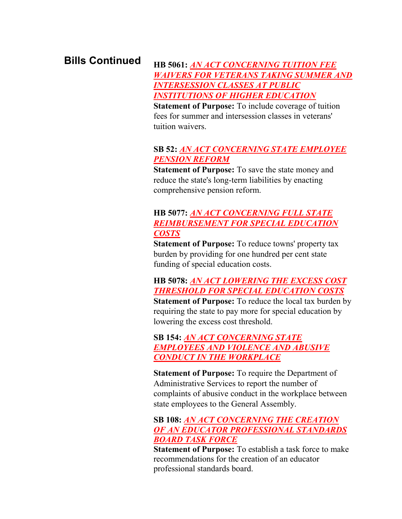# **Bills Continued**

#### **HB 5061:** *[AN ACT CONCERNING TUITION FEE](http://www.cga.ct.gov/asp/cgabillstatus/cgabillstatus.asp?selBillType=Bill&bill_num=5061&which_year=2012&SUBMIT1.x=0&SUBMIT1.y=0)  [WAIVERS FOR VETERANS TAKING SUMMER AND](http://www.cga.ct.gov/asp/cgabillstatus/cgabillstatus.asp?selBillType=Bill&bill_num=5061&which_year=2012&SUBMIT1.x=0&SUBMIT1.y=0)  [INTERSESSION CLASSES AT PUBLIC](http://www.cga.ct.gov/asp/cgabillstatus/cgabillstatus.asp?selBillType=Bill&bill_num=5061&which_year=2012&SUBMIT1.x=0&SUBMIT1.y=0)  [INSTITUTIONS OF HIGHER EDUCATION](http://www.cga.ct.gov/asp/cgabillstatus/cgabillstatus.asp?selBillType=Bill&bill_num=5061&which_year=2012&SUBMIT1.x=0&SUBMIT1.y=0)*

**Statement of Purpose:** To include coverage of tuition fees for summer and intersession classes in veterans' tuition waivers.

### **SB 52:** *[AN ACT CONCERNING STATE EMPLOYEE](http://www.cga.ct.gov/asp/cgabillstatus/cgabillstatus.asp?selBillType=Bill&bill_num=52&which_year=2012&SUBMIT1.x=0&SUBMIT1.y=0)  [PENSION REFORM](http://www.cga.ct.gov/asp/cgabillstatus/cgabillstatus.asp?selBillType=Bill&bill_num=52&which_year=2012&SUBMIT1.x=0&SUBMIT1.y=0)*

**Statement of Purpose:** To save the state money and reduce the state's long-term liabilities by enacting comprehensive pension reform.

# **HB 5077:** *[AN ACT CONCERNING FULL STATE](http://www.cga.ct.gov/asp/cgabillstatus/cgabillstatus.asp?selBillType=Bill&bill_num=5077&which_year=2012&SUBMIT1.x=0&SUBMIT1.y=0)  [REIMBURSEMENT FOR SPECIAL EDUCATION](http://www.cga.ct.gov/asp/cgabillstatus/cgabillstatus.asp?selBillType=Bill&bill_num=5077&which_year=2012&SUBMIT1.x=0&SUBMIT1.y=0)  [COSTS](http://www.cga.ct.gov/asp/cgabillstatus/cgabillstatus.asp?selBillType=Bill&bill_num=5077&which_year=2012&SUBMIT1.x=0&SUBMIT1.y=0)*

**Statement of Purpose:** To reduce towns' property tax burden by providing for one hundred per cent state funding of special education costs.

**HB 5078:** *[AN ACT LOWERING THE EXCESS COST](http://www.cga.ct.gov/asp/cgabillstatus/cgabillstatus.asp?selBillType=Bill&bill_num=5078&which_year=2012&SUBMIT1.x=0&SUBMIT1.y=0)  [THRESHOLD FOR SPECIAL EDUCATION COSTS](http://www.cga.ct.gov/asp/cgabillstatus/cgabillstatus.asp?selBillType=Bill&bill_num=5078&which_year=2012&SUBMIT1.x=0&SUBMIT1.y=0)*

**Statement of Purpose:** To reduce the local tax burden by requiring the state to pay more for special education by lowering the excess cost threshold.

**SB 154:** *[AN ACT CONCERNING STATE](http://www.cga.ct.gov/asp/cgabillstatus/cgabillstatus.asp?selBillType=Bill&bill_num=154&which_year=2012&SUBMIT1.x=0&SUBMIT1.y=0)  [EMPLOYEES AND VIOLENCE AND ABUSIVE](http://www.cga.ct.gov/asp/cgabillstatus/cgabillstatus.asp?selBillType=Bill&bill_num=154&which_year=2012&SUBMIT1.x=0&SUBMIT1.y=0)  [CONDUCT IN THE WORKPLACE](http://www.cga.ct.gov/asp/cgabillstatus/cgabillstatus.asp?selBillType=Bill&bill_num=154&which_year=2012&SUBMIT1.x=0&SUBMIT1.y=0)*

**Statement of Purpose:** To require the Department of Administrative Services to report the number of complaints of abusive conduct in the workplace between state employees to the General Assembly.

# **SB 108:** *[AN ACT CONCERNING THE CREATION](http://www.cga.ct.gov/asp/cgabillstatus/cgabillstatus.asp?selBillType=Bill&bill_num=108&which_year=2012&SUBMIT1.x=0&SUBMIT1.y=0)  [OF AN EDUCATOR PROFESSIONAL STANDARDS](http://www.cga.ct.gov/asp/cgabillstatus/cgabillstatus.asp?selBillType=Bill&bill_num=108&which_year=2012&SUBMIT1.x=0&SUBMIT1.y=0)  [BOARD TASK FORCE](http://www.cga.ct.gov/asp/cgabillstatus/cgabillstatus.asp?selBillType=Bill&bill_num=108&which_year=2012&SUBMIT1.x=0&SUBMIT1.y=0)*

**Statement of Purpose:** To establish a task force to make recommendations for the creation of an educator professional standards board.